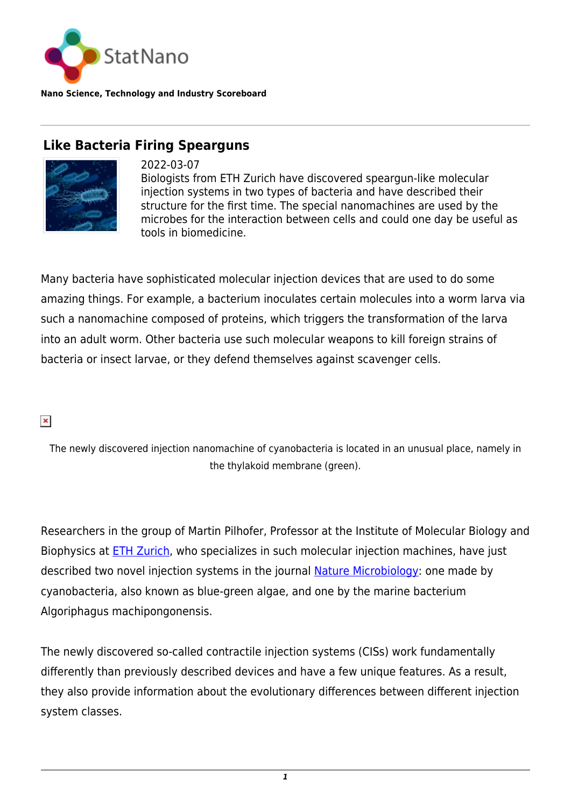

**Nano Science, Technology and Industry Scoreboard**

# **Like Bacteria Firing Spearguns**



2022-03-07 Biologists from ETH Zurich have discovered speargun-like molecular injection systems in two types of bacteria and have described their structure for the first time. The special nanomachines are used by the microbes for the interaction between cells and could one day be useful as tools in biomedicine.

Many bacteria have sophisticated molecular injection devices that are used to do some amazing things. For example, a bacterium inoculates certain molecules into a worm larva via such a nanomachine composed of proteins, which triggers the transformation of the larva into an adult worm. Other bacteria use such molecular weapons to kill foreign strains of bacteria or insect larvae, or they defend themselves against scavenger cells.

### $\pmb{\times}$

The newly discovered injection nanomachine of cyanobacteria is located in an unusual place, namely in the thylakoid membrane (green).

Researchers in the group of Martin Pilhofer, Professor at the Institute of Molecular Biology and Biophysics at [ETH Zurich,](https://statnano.com/org/Swiss-Federal-Institute-of-Technology-in-Zurich) who specializes in such molecular injection machines, have just described two novel injection systems in the journal [Nature Microbiology:](https://www.nature.com/articles/s41564-021-01055-y) one made by cyanobacteria, also known as blue-green algae, and one by the marine bacterium Algoriphagus machipongonensis.

The newly discovered so-called contractile injection systems (CISs) work fundamentally differently than previously described devices and have a few unique features. As a result, they also provide information about the evolutionary differences between different injection system classes.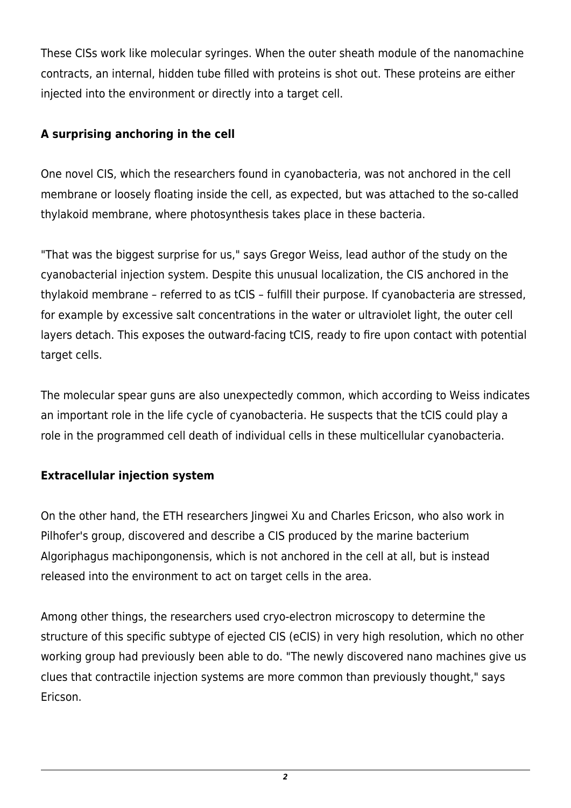These CISs work like molecular syringes. When the outer sheath module of the nanomachine contracts, an internal, hidden tube filled with proteins is shot out. These proteins are either injected into the environment or directly into a target cell.

## **A surprising anchoring in the cell**

One novel CIS, which the researchers found in cyanobacteria, was not anchored in the cell membrane or loosely floating inside the cell, as expected, but was attached to the so-called thylakoid membrane, where photosynthesis takes place in these bacteria.

"That was the biggest surprise for us," says Gregor Weiss, lead author of the study on the cyanobacterial injection system. Despite this unusual localization, the CIS anchored in the thylakoid membrane – referred to as tCIS – fulfill their purpose. If cyanobacteria are stressed, for example by excessive salt concentrations in the water or ultraviolet light, the outer cell layers detach. This exposes the outward-facing tCIS, ready to fire upon contact with potential target cells.

The molecular spear guns are also unexpectedly common, which according to Weiss indicates an important role in the life cycle of cyanobacteria. He suspects that the tCIS could play a role in the programmed cell death of individual cells in these multicellular cyanobacteria.

# **Extracellular injection system**

On the other hand, the ETH researchers Jingwei Xu and Charles Ericson, who also work in Pilhofer's group, discovered and describe a CIS produced by the marine bacterium Algoriphagus machipongonensis, which is not anchored in the cell at all, but is instead released into the environment to act on target cells in the area.

Among other things, the researchers used cryo-electron microscopy to determine the structure of this specific subtype of ejected CIS (eCIS) in very high resolution, which no other working group had previously been able to do. "The newly discovered nano machines give us clues that contractile injection systems are more common than previously thought," says Ericson.